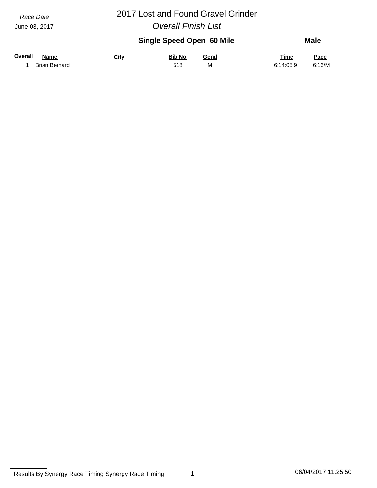# *Race Date* 2017 Lost and Found Gravel Grinder

*Overall Finish List*

| <b>Single Speed Open 60 Mile</b> | <b>Male</b> |
|----------------------------------|-------------|
|                                  |             |

| <b>Overall</b> | <b>Name</b>          | City | <b>Bib No</b> | Gend | <b>Time</b> | Pace   |
|----------------|----------------------|------|---------------|------|-------------|--------|
|                | <b>Brian Bernard</b> |      |               | M    | 6:14:05.9   | 6:16/M |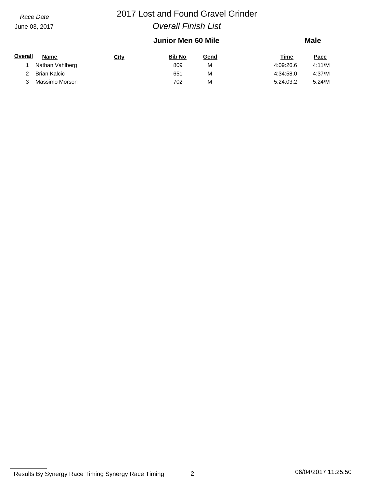# *Race Date* 2017 Lost and Found Gravel Grinder *Overall Finish List*

## **Junior Men 60 Mile**

### **Male**

| Overall | Name            | <b>City</b> | <b>Bib No</b> | Gend | Time      | Pace   |
|---------|-----------------|-------------|---------------|------|-----------|--------|
|         | Nathan Vahlberg |             | 809           | М    | 4:09:26.6 | 4:11/M |
|         | Brian Kalcic    |             | 651           | M    | 4:34:58.0 | 4:37/M |
|         | Massimo Morson  |             | 702           | М    | 5:24:03.2 | 5:24/M |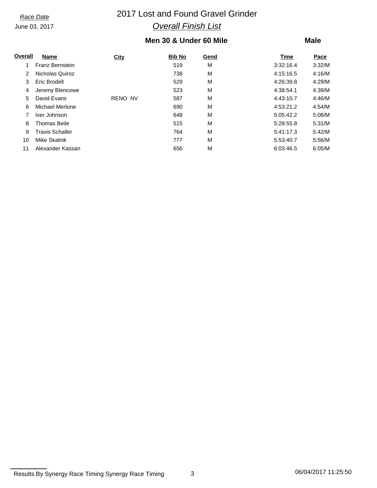# *Race Date* 2017 Lost and Found Gravel Grinder *Overall Finish List*

## **Men 30 & Under 60 Mile**

### **Male**

| Overall | Name                   | City           | <b>Bib No</b> | Gend | Time      | Pace   |
|---------|------------------------|----------------|---------------|------|-----------|--------|
|         | Franz Bernstein        |                | 519           | м    | 3:32:16.4 | 3:32/M |
| 2       | Nicholas Quiroz        |                | 738           | M    | 4:15:16.5 | 4:16/M |
| 3       | Eric Brodell           |                | 529           | м    | 4:26:39.8 | 4:29/M |
| 4       | Jeremy Blencowe        |                | 523           | M    | 4:38:54.1 | 4:39/M |
| 5       | David Evans            | <b>RENO NV</b> | 587           | M    | 4:43:10.7 | 4:46/M |
| 6       | Michael Merlone        |                | 690           | M    | 4:53:21.2 | 4:54/M |
|         | Iver Johnson           |                | 648           | M    | 5:05:42.2 | 5:08/M |
| 8       | <b>Thomas Beile</b>    |                | 515           | M    | 5:28:55.8 | 5:31/M |
| 9       | <b>Travis Schaller</b> |                | 764           | M    | 5:41:17.3 | 5:42/M |
| 10      | Mike Skalnik           |                | 777           | M    | 5:53:40.7 | 5:56/M |
| 11      | Alexander Kassan       |                | 656           | M    | 6:03:46.5 | 6:05/M |

Results By Synergy Race Timing Synergy Race Timing 3 3 06/04/2017 11:25:50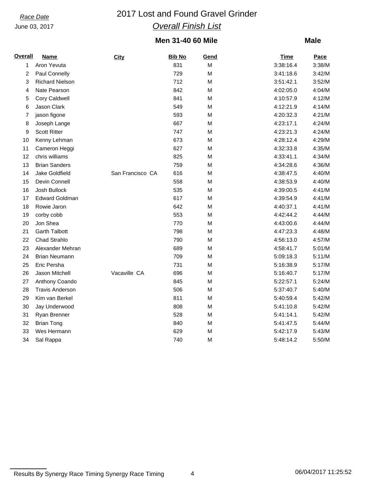# *Race Date* 2017 Lost and Found Gravel Grinder *Overall Finish List*

## **Men 31-40 60 Mile**

### **Male**

| <b>Overall</b> | <b>Name</b>            | City             | <b>Bib No</b> | Gend | <b>Time</b> | Pace   |
|----------------|------------------------|------------------|---------------|------|-------------|--------|
| 1              | Aron Yevuta            |                  | 831           | M    | 3:38:16.4   | 3:38/M |
| 2              | Paul Connelly          |                  | 729           | M    | 3:41:18.6   | 3:42/M |
| 3              | <b>Richard Nielson</b> |                  | 712           | M    | 3:51:42.1   | 3:52/M |
| 4              | Nate Pearson           |                  | 842           | M    | 4:02:05.0   | 4:04/M |
| 5              | Cory Caldwell          |                  | 841           | M    | 4:10:57.9   | 4:12/M |
| 6              | Jason Clark            |                  | 549           | M    | 4:12:21.9   | 4:14/M |
| 7              | jason figone           |                  | 593           | M    | 4:20:32.3   | 4:21/M |
| 8              | Joseph Lange           |                  | 667           | M    | 4:23:17.1   | 4:24/M |
| 9              | <b>Scott Ritter</b>    |                  | 747           | M    | 4:23:21.3   | 4:24/M |
| 10             | Kenny Lehman           |                  | 673           | M    | 4:28:12.4   | 4:29/M |
| 11             | Cameron Heggi          |                  | 627           | M    | 4:32:33.8   | 4:35/M |
| 12             | chris williams         |                  | 825           | M    | 4:33:41.1   | 4:34/M |
| 13             | <b>Brian Sanders</b>   |                  | 759           | M    | 4:34:28.6   | 4:36/M |
| 14             | Jake Goldfield         | San Francisco CA | 616           | M    | 4:38:47.5   | 4:40/M |
| 15             | Devin Connell          |                  | 558           | M    | 4:38:53.9   | 4:40/M |
| 16             | Josh Bullock           |                  | 535           | M    | 4:39:00.5   | 4:41/M |
| 17             | <b>Edward Goldman</b>  |                  | 617           | M    | 4:39:54.9   | 4:41/M |
| 18             | Rowie Jaron            |                  | 642           | M    | 4:40:37.1   | 4:41/M |
| 19             | corby cobb             |                  | 553           | M    | 4:42:44.2   | 4:44/M |
| 20             | Jon Shea               |                  | 770           | M    | 4:43:00.6   | 4:44/M |
| 21             | <b>Garth Talbott</b>   |                  | 798           | M    | 4:47:23.3   | 4:48/M |
| 22             | Chad Strahlo           |                  | 790           | M    | 4:56:13.0   | 4:57/M |
| 23             | Alexander Mehran       |                  | 689           | M    | 4:58:41.7   | 5:01/M |
| 24             | <b>Brian Neumann</b>   |                  | 709           | M    | 5:09:18.3   | 5:11/M |
| 25             | Eric Persha            |                  | 731           | M    | 5:16:38.9   | 5:17/M |
| 26             | Jason Mitchell         | Vacaville CA     | 696           | M    | 5:16:40.7   | 5:17/M |
| 27             | Anthony Coando         |                  | 845           | M    | 5:22:57.1   | 5:24/M |
| 28             | <b>Travis Anderson</b> |                  | 506           | M    | 5:37:40.7   | 5:40/M |
| 29             | Kim van Berkel         |                  | 811           | M    | 5:40:59.4   | 5:42/M |
| 30             | Jay Underwood          |                  | 808           | M    | 5:41:10.8   | 5:42/M |
| 31             | Ryan Brenner           |                  | 528           | M    | 5:41:14.1   | 5:42/M |
| 32             | <b>Brian Tong</b>      |                  | 840           | M    | 5:41:47.5   | 5:44/M |
| 33             | Wes Hermann            |                  | 629           | M    | 5:42:17.9   | 5:43/M |
| 34             | Sal Rappa              |                  | 740           | M    | 5:48:14.2   | 5:50/M |
|                |                        |                  |               |      |             |        |

Results By Synergy Race Timing Synergy Race Timing 4 1 1 1 1 1 1 1 1 1 1 1 1 1 1 1 1 25:52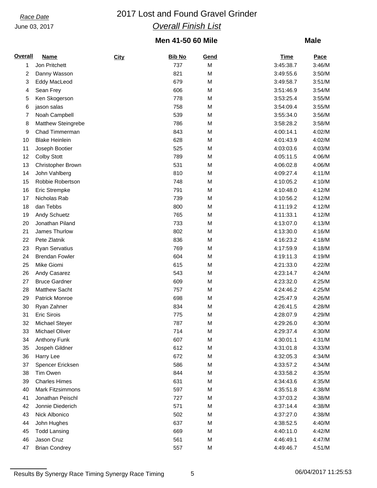# *Race Date* 2017 Lost and Found Gravel Grinder *Overall Finish List*

## **Men 41-50 60 Mile**

### **Male**

| <b>Overall</b> | <b>Name</b>             | City | <b>Bib No</b> | Gend | <b>Time</b> | Pace   |
|----------------|-------------------------|------|---------------|------|-------------|--------|
| 1              | Jon Pritchett           |      | 737           | M    | 3:45:38.7   | 3:46/M |
| 2              | Danny Wasson            |      | 821           | M    | 3:49:55.6   | 3:50/M |
| 3              | Eddy MacLeod            |      | 679           | M    | 3:49:58.7   | 3:51/M |
| 4              | Sean Frey               |      | 606           | M    | 3:51:46.9   | 3:54/M |
| 5              | Ken Skogerson           |      | 778           | M    | 3:53:25.4   | 3:55/M |
| 6              | jason salas             |      | 758           | M    | 3:54:09.4   | 3:55/M |
| 7              | Noah Campbell           |      | 539           | M    | 3:55:34.0   | 3:56/M |
| 8              | Matthew Steingrebe      |      | 786           | M    | 3:58:28.2   | 3:58/M |
| 9              | Chad Timmerman          |      | 843           | M    | 4:00:14.1   | 4:02/M |
| 10             | <b>Blake Heinlein</b>   |      | 628           | M    | 4:01:43.9   | 4:02/M |
| 11             | Joseph Bootier          |      | 525           | M    | 4:03:03.6   | 4:03/M |
| 12             | <b>Colby Stott</b>      |      | 789           | M    | 4:05:11.5   | 4:06/M |
| 13             | Christopher Brown       |      | 531           | M    | 4:06:02.8   | 4:06/M |
| 14             | John Vahlberg           |      | 810           | M    | 4:09:27.4   | 4:11/M |
| 15             | Robbie Robertson        |      | 748           | M    | 4:10:05.2   | 4:10/M |
| 16             | Eric Strempke           |      | 791           | M    | 4:10:48.0   | 4:12/M |
| 17             | Nicholas Rab            |      | 739           | M    | 4:10:56.2   | 4:12/M |
| 18             | dan Tebbs               |      | 800           | M    | 4:11:19.2   | 4:12/M |
| 19             | Andy Schuetz            |      | 765           | M    | 4:11:33.1   | 4:12/M |
| 20             | Jonathan Piland         |      | 733           | M    | 4:13:07.0   | 4:13/M |
| 21             | James Thurlow           |      | 802           | M    | 4:13:30.0   | 4:16/M |
| 22             | Pete Zlatnik            |      | 836           | M    | 4:16:23.2   | 4:18/M |
| 23             | <b>Ryan Servatius</b>   |      | 769           | M    | 4:17:59.9   | 4:18/M |
| 24             | <b>Brendan Fowler</b>   |      | 604           | M    | 4:19:11.3   | 4:19/M |
| 25             | Mike Giomi              |      | 615           | M    | 4:21:33.0   | 4:22/M |
| 26             | Andy Casarez            |      | 543           | M    | 4:23:14.7   | 4:24/M |
| 27             | <b>Bruce Gardner</b>    |      | 609           | M    | 4:23:32.0   | 4:25/M |
|                | <b>Matthew Sacht</b>    |      | 757           | M    |             |        |
| 28             |                         |      |               |      | 4:24:46.2   | 4:25/M |
| 29             | Patrick Monroe          |      | 698           | M    | 4:25:47.9   | 4:26/M |
| 30             | Ryan Zahner             |      | 834           | M    | 4:26:41.5   | 4:28/M |
| 31             | Eric Sirois             |      | 775           | M    | 4:28:07.9   | 4:29/M |
| 32             | Michael Steyer          |      | 787           | M    | 4:29:26.0   | 4:30/M |
| 33             | Michael Oliver          |      | 714           | M    | 4:29:37.4   | 4:30/M |
| 34             | Anthony Funk            |      | 607           | M    | 4:30:01.1   | 4:31/M |
| 35             | Jospeh Gildner          |      | 612           | M    | 4:31:01.8   | 4:33/M |
| 36             | Harry Lee               |      | 672           | M    | 4:32:05.3   | 4:34/M |
| 37             | Spencer Ericksen        |      | 586           | M    | 4:33:57.2   | 4:34/M |
| 38             | Tim Owen                |      | 844           | M    | 4:33:58.2   | 4:35/M |
| 39             | <b>Charles Himes</b>    |      | 631           | M    | 4:34:43.6   | 4:35/M |
| 40             | <b>Mark Fitzsimmons</b> |      | 597           | M    | 4:35:51.8   | 4:38/M |
| 41             | Jonathan Peischl        |      | 727           | M    | 4:37:03.2   | 4:38/M |
| 42             | Jonnie Diederich        |      | 571           | M    | 4:37:14.4   | 4:38/M |
| 43             | Nick Albonico           |      | 502           | M    | 4:37:27.0   | 4:38/M |
| 44             | John Hughes             |      | 637           | M    | 4:38:52.5   | 4:40/M |
| 45             | <b>Todd Lansing</b>     |      | 669           | M    | 4:40:11.0   | 4:42/M |
| 46             | Jason Cruz              |      | 561           | M    | 4:46:49.1   | 4:47/M |
| 47             | <b>Brian Condrey</b>    |      | 557           | M    | 4:49:46.7   | 4:51/M |

Results By Synergy Race Timing Synergy Race Timing 5 5 06/04/2017 11:25:53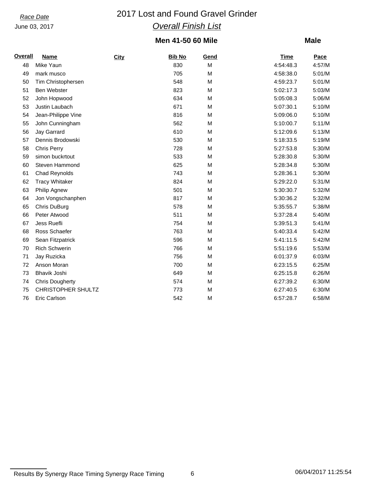# *Race Date* 2017 Lost and Found Gravel Grinder *Overall Finish List*

## **Men 41-50 60 Mile**

### **Male**

| <b>Overall</b> | <b>Name</b>            | City | <b>Bib No</b> | Gend | <b>Time</b> | Pace   |
|----------------|------------------------|------|---------------|------|-------------|--------|
| 48             | Mike Yaun              |      | 830           | M    | 4:54:48.3   | 4:57/M |
| 49             | mark musco             |      | 705           | M    | 4:58:38.0   | 5:01/M |
| 50             | Tim Christophersen     |      | 548           | M    | 4:59:23.7   | 5:01/M |
| 51             | Ben Webster            |      | 823           | M    | 5:02:17.3   | 5:03/M |
| 52             | John Hopwood           |      | 634           | M    | 5:05:08.3   | 5:06/M |
| 53             | Justin Laubach         |      | 671           | M    | 5:07:30.1   | 5:10/M |
| 54             | Jean-Philippe Vine     |      | 816           | M    | 5:09:06.0   | 5:10/M |
| 55             | John Cunningham        |      | 562           | M    | 5:10:00.7   | 5:11/M |
| 56             | Jay Garrard            |      | 610           | M    | 5:12:09.6   | 5:13/M |
| 57             | Dennis Brodowski       |      | 530           | M    | 5:18:33.5   | 5:19/M |
| 58             | <b>Chris Perry</b>     |      | 728           | M    | 5:27:53.8   | 5:30/M |
| 59             | simon buckrtout        |      | 533           | M    | 5:28:30.8   | 5:30/M |
| 60             | Steven Hammond         |      | 625           | M    | 5:28:34.8   | 5:30/M |
| 61             | <b>Chad Reynolds</b>   |      | 743           | M    | 5:28:36.1   | 5:30/M |
| 62             | <b>Tracy Whitaker</b>  |      | 824           | M    | 5:29:22.0   | 5:31/M |
| 63             | Philip Agnew           |      | 501           | M    | 5:30:30.7   | 5:32/M |
| 64             | Jon Vongschanphen      |      | 817           | M    | 5:30:36.2   | 5:32/M |
| 65             | Chris DuBurg           |      | 578           | M    | 5:35:55.7   | 5:38/M |
| 66             | Peter Atwood           |      | 511           | M    | 5:37:28.4   | 5:40/M |
| 67             | Jess Ruefli            |      | 754           | M    | 5:39:51.3   | 5:41/M |
| 68             | Ross Schaefer          |      | 763           | M    | 5:40:33.4   | 5:42/M |
| 69             | Sean Fitzpatrick       |      | 596           | M    | 5:41:11.5   | 5:42/M |
| 70             | <b>Rich Schwerin</b>   |      | 766           | M    | 5:51:19.6   | 5:53/M |
| 71             | Jay Ruzicka            |      | 756           | M    | 6:01:37.9   | 6:03/M |
| 72             | Anson Moran            |      | 700           | M    | 6:23:15.5   | 6:25/M |
| 73             | <b>Bhavik Joshi</b>    |      | 649           | M    | 6:25:15.8   | 6:26/M |
| 74             | <b>Chris Dougherty</b> |      | 574           | M    | 6:27:39.2   | 6:30/M |
| 75             | CHRISTOPHER SHULTZ     |      | 773           | M    | 6:27:40.5   | 6:30/M |
| 76             | <b>Eric Carlson</b>    |      | 542           | M    | 6:57:28.7   | 6:58/M |

Results By Synergy Race Timing Synergy Race Timing 6 06/04/2017 11:25:54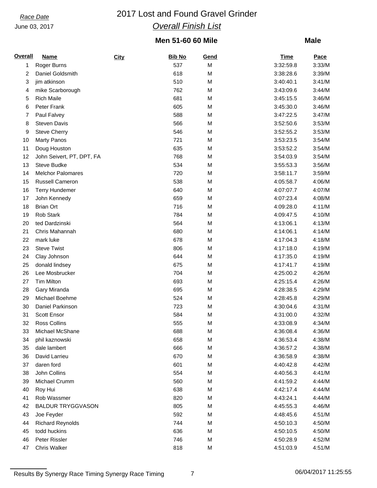# *Race Date* 2017 Lost and Found Gravel Grinder *Overall Finish List*

## **Men 51-60 60 Mile**

### **Male**

| <b>Overall</b> | <b>Name</b>               | City | <b>Bib No</b> | Gend | <b>Time</b> | <b>Pace</b> |
|----------------|---------------------------|------|---------------|------|-------------|-------------|
| 1              | Roger Burns               |      | 537           | M    | 3:32:59.8   | 3:33/M      |
| 2              | Daniel Goldsmith          |      | 618           | M    | 3:38:28.6   | 3:39/M      |
| 3              | jim atkinson              |      | 510           | M    | 3:40:40.1   | 3:41/M      |
| 4              | mike Scarborough          |      | 762           | M    | 3:43:09.6   | 3:44/M      |
| 5              | <b>Rich Maile</b>         |      | 681           | M    | 3:45:15.5   | 3:46/M      |
| 6              | Peter Frank               |      | 605           | M    | 3:45:30.0   | 3:46/M      |
| 7              | Paul Falvey               |      | 588           | M    | 3:47:22.5   | 3:47/M      |
| 8              | <b>Steven Davis</b>       |      | 566           | M    | 3:52:50.6   | 3:53/M      |
| 9              | <b>Steve Cherry</b>       |      | 546           | M    | 3:52:55.2   | 3:53/M      |
| 10             | <b>Marty Panos</b>        |      | 721           | M    | 3:53:23.5   | 3:54/M      |
| 11             | Doug Houston              |      | 635           | M    | 3:53:52.2   | 3:54/M      |
| 12             | John Seivert, PT, DPT, FA |      | 768           | M    | 3:54:03.9   | 3:54/M      |
| 13             | <b>Steve Budke</b>        |      | 534           | M    | 3:55:53.3   | 3:56/M      |
| 14             | <b>Melchor Palomares</b>  |      | 720           | M    | 3:58:11.7   | 3:59/M      |
| 15             | <b>Russell Cameron</b>    |      | 538           | M    | 4:05:58.7   | 4:06/M      |
| 16             | <b>Terry Hundemer</b>     |      | 640           | M    | 4:07:07.7   | 4:07/M      |
| 17             | John Kennedy              |      | 659           | M    | 4:07:23.4   | 4:08/M      |
| 18             | <b>Brian Ort</b>          |      | 716           | M    | 4:09:28.0   | 4:11/M      |
| 19             | Rob Stark                 |      | 784           | M    | 4:09:47.5   | 4:10/M      |
| 20             | ted Dardzinski            |      | 564           | M    | 4:13:06.1   | 4:13/M      |
| 21             | Chris Mahannah            |      | 680           | M    | 4:14:06.1   | 4:14/M      |
| 22             | mark luke                 |      | 678           | M    | 4:17:04.3   | 4:18/M      |
| 23             | <b>Steve Twist</b>        |      | 806           | M    | 4:17:18.0   | 4:19/M      |
| 24             | Clay Johnson              |      | 644           | M    | 4:17:35.0   | 4:19/M      |
| 25             | donald lindsey            |      | 675           | M    | 4:17:41.7   | 4:19/M      |
| 26             | Lee Mosbrucker            |      | 704           | M    | 4:25:00.2   | 4:26/M      |
| 27             | <b>Tim Milton</b>         |      | 693           | M    | 4:25:15.4   | 4:26/M      |
|                |                           |      | 695           | M    |             | 4:29/M      |
| 28             | Gary Miranda              |      |               |      | 4:28:38.5   |             |
| 29             | Michael Boehme            |      | 524           | M    | 4:28:45.8   | 4:29/M      |
| 30             | Daniel Parkinson          |      | 723           | M    | 4:30:04.6   | 4:31/M      |
| 31             | Scott Ensor               |      | 584           | M    | 4:31:00.0   | 4:32/M      |
| 32             | Ross Collins              |      | 555           | M    | 4:33:08.9   | 4:34/M      |
| 33             | Michael McShane           |      | 688           | M    | 4:36:08.4   | 4:36/M      |
| 34             | phil kaznowski            |      | 658           | M    | 4:36:53.4   | 4:38/M      |
| 35             | dale lambert              |      | 666           | M    | 4:36:57.2   | 4:38/M      |
| 36             | David Larrieu             |      | 670           | M    | 4:36:58.9   | 4:38/M      |
| 37             | daren ford                |      | 601           | M    | 4:40:42.8   | 4:42/M      |
| 38             | John Collins              |      | 554           | M    | 4:40:56.3   | 4:41/M      |
| 39             | Michael Crumm             |      | 560           | M    | 4:41:59.2   | 4:44/M      |
| 40             | Roy Hui                   |      | 638           | M    | 4:42:17.4   | 4:44/M      |
| 41             | Rob Wassmer               |      | 820           | M    | 4:43:24.1   | 4:44/M      |
| 42             | <b>BALDUR TRYGGVASON</b>  |      | 805           | M    | 4:45:55.3   | 4:46/M      |
| 43             | Joe Feyder                |      | 592           | M    | 4:48:45.6   | 4:51/M      |
| 44             | <b>Richard Reynolds</b>   |      | 744           | M    | 4:50:10.3   | 4:50/M      |
| 45             | todd huckins              |      | 636           | M    | 4:50:10.5   | 4:50/M      |
| 46             | Peter Rissler             |      | 746           | M    | 4:50:28.9   | 4:52/M      |
| 47             | Chris Walker              |      | 818           | M    | 4:51:03.9   | 4:51/M      |

Results By Synergy Race Timing Synergy Race Timing 7 7 16 106/04/2017 11:25:55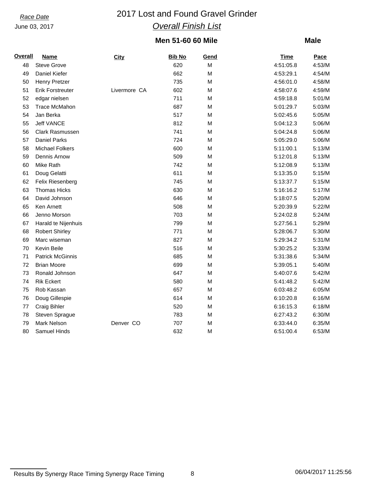# *Race Date* 2017 Lost and Found Gravel Grinder *Overall Finish List*

## **Men 51-60 60 Mile**

### **Male**

| <b>Overall</b> | <b>Name</b>             | <b>City</b>  | <b>Bib No</b> | Gend | <b>Time</b> | Pace   |
|----------------|-------------------------|--------------|---------------|------|-------------|--------|
| 48             | <b>Steve Grove</b>      |              | 620           | M    | 4:51:05.8   | 4:53/M |
| 49             | Daniel Kiefer           |              | 662           | M    | 4:53:29.1   | 4:54/M |
| 50             | Henry Pretzer           |              | 735           | M    | 4:56:01.0   | 4:58/M |
| 51             | <b>Erik Forstreuter</b> | Livermore CA | 602           | M    | 4:58:07.6   | 4:59/M |
| 52             | edgar nielsen           |              | 711           | M    | 4:59:18.8   | 5:01/M |
| 53             | Trace McMahon           |              | 687           | M    | 5:01:29.7   | 5:03/M |
| 54             | Jan Berka               |              | 517           | M    | 5:02:45.6   | 5:05/M |
| 55             | <b>Jeff VANCE</b>       |              | 812           | M    | 5:04:12.3   | 5:06/M |
| 56             | Clark Rasmussen         |              | 741           | M    | 5:04:24.8   | 5:06/M |
| 57             | <b>Daniel Parks</b>     |              | 724           | M    | 5:05:29.0   | 5:06/M |
| 58             | <b>Michael Folkers</b>  |              | 600           | M    | 5:11:00.1   | 5:13/M |
| 59             | Dennis Arnow            |              | 509           | M    | 5:12:01.8   | 5:13/M |
| 60             | <b>Mike Rath</b>        |              | 742           | M    | 5:12:08.9   | 5:13/M |
| 61             | Doug Gelatti            |              | 611           | M    | 5:13:35.0   | 5:15/M |
| 62             | Felix Riesenberg        |              | 745           | M    | 5:13:37.7   | 5:15/M |
| 63             | <b>Thomas Hicks</b>     |              | 630           | M    | 5:16:16.2   | 5:17/M |
| 64             | David Johnson           |              | 646           | M    | 5:18:07.5   | 5:20/M |
| 65             | Ken Arnett              |              | 508           | M    | 5:20:39.9   | 5:22/M |
| 66             | Jenno Morson            |              | 703           | M    | 5:24:02.8   | 5:24/M |
| 67             | Harald te Nijenhuis     |              | 799           | M    | 5:27:56.1   | 5:29/M |
| 68             | <b>Robert Shirley</b>   |              | 771           | M    | 5:28:06.7   | 5:30/M |
| 69             | Marc wiseman            |              | 827           | M    | 5:29:34.2   | 5:31/M |
| 70             | Kevin Beile             |              | 516           | M    | 5:30:25.2   | 5:33/M |
| 71             | <b>Patrick McGinnis</b> |              | 685           | M    | 5:31:38.6   | 5:34/M |
| 72             | <b>Brian Moore</b>      |              | 699           | M    | 5:39:05.1   | 5:40/M |
| 73             | Ronald Johnson          |              | 647           | M    | 5:40:07.6   | 5:42/M |
| 74             | <b>Rik Eckert</b>       |              | 580           | M    | 5:41:48.2   | 5:42/M |
| 75             | Rob Kassan              |              | 657           | M    | 6:03:48.2   | 6:05/M |
| 76             | Doug Gillespie          |              | 614           | M    | 6:10:20.8   | 6:16/M |
| 77             | Craig Bihler            |              | 520           | M    | 6:16:15.3   | 6:18/M |
| 78             | Steven Sprague          |              | 783           | M    | 6:27:43.2   | 6:30/M |
| 79             | Mark Nelson             | Denver CO    | 707           | M    | 6:33:44.0   | 6:35/M |
| 80             | <b>Samuel Hinds</b>     |              | 632           | M    | 6:51:00.4   | 6:53/M |

Results By Synergy Race Timing Synergy Race Timing 8 8 06/04/2017 11:25:56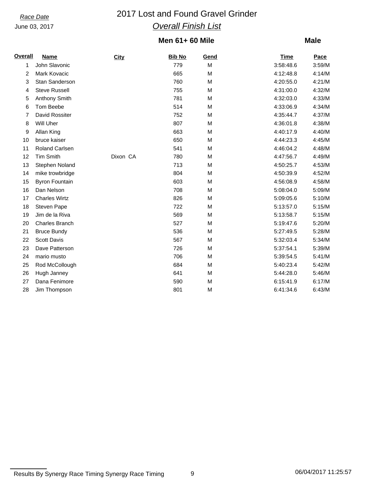# *Race Date* 2017 Lost and Found Gravel Grinder *Overall Finish List*

## **Men 61+ 60 Mile**

### **Male**

| <b>Overall</b> | Name                  | <b>City</b> | <b>Bib No</b> | Gend | <b>Time</b> | Pace   |
|----------------|-----------------------|-------------|---------------|------|-------------|--------|
| 1              | John Slavonic         |             | 779           | M    | 3:58:48.6   | 3:59/M |
| 2              | Mark Kovacic          |             | 665           | M    | 4:12:48.8   | 4:14/M |
| 3              | Stan Sanderson        |             | 760           | M    | 4:20:55.0   | 4:21/M |
| 4              | <b>Steve Russell</b>  |             | 755           | M    | 4:31:00.0   | 4:32/M |
| 5              | Anthony Smith         |             | 781           | M    | 4:32:03.0   | 4:33/M |
| 6              | Tom Beebe             |             | 514           | M    | 4:33:06.9   | 4:34/M |
| 7              | David Rossiter        |             | 752           | M    | 4:35:44.7   | 4:37/M |
| 8              | Will Uher             |             | 807           | M    | 4:36:01.8   | 4:38/M |
| 9              | Allan King            |             | 663           | M    | 4:40:17.9   | 4:40/M |
| 10             | bruce kaiser          |             | 650           | M    | 4:44:23.3   | 4:45/M |
| 11             | <b>Roland Carlsen</b> |             | 541           | M    | 4:46:04.2   | 4:48/M |
| 12             | <b>Tim Smith</b>      | Dixon CA    | 780           | M    | 4:47:56.7   | 4:49/M |
| 13             | Stephen Noland        |             | 713           | M    | 4:50:25.7   | 4:53/M |
| 14             | mike trowbridge       |             | 804           | M    | 4:50:39.9   | 4:52/M |
| 15             | <b>Byron Fountain</b> |             | 603           | M    | 4:56:08.9   | 4:58/M |
| 16             | Dan Nelson            |             | 708           | M    | 5:08:04.0   | 5:09/M |
| 17             | <b>Charles Wirtz</b>  |             | 826           | M    | 5:09:05.6   | 5:10/M |
| 18             | Steven Pape           |             | 722           | M    | 5:13:57.0   | 5:15/M |
| 19             | Jim de la Riva        |             | 569           | M    | 5:13:58.7   | 5:15/M |
| 20             | <b>Charles Branch</b> |             | 527           | M    | 5:19:47.6   | 5:20/M |
| 21             | <b>Bruce Bundy</b>    |             | 536           | M    | 5:27:49.5   | 5:28/M |
| 22             | <b>Scott Davis</b>    |             | 567           | M    | 5:32:03.4   | 5:34/M |
| 23             | Dave Patterson        |             | 726           | M    | 5:37:54.1   | 5:39/M |
| 24             | mario musto           |             | 706           | M    | 5:39:54.5   | 5:41/M |
| 25             | Rod McCollough        |             | 684           | M    | 5:40:23.4   | 5:42/M |
| 26             | Hugh Janney           |             | 641           | M    | 5:44:28.0   | 5:46/M |
| 27             | Dana Fenimore         |             | 590           | M    | 6:15:41.9   | 6:17/M |
| 28             | Jim Thompson          |             | 801           | M    | 6:41:34.6   | 6:43/M |

Results By Synergy Race Timing Synergy Race Timing 9 06/04/2017 11:25:57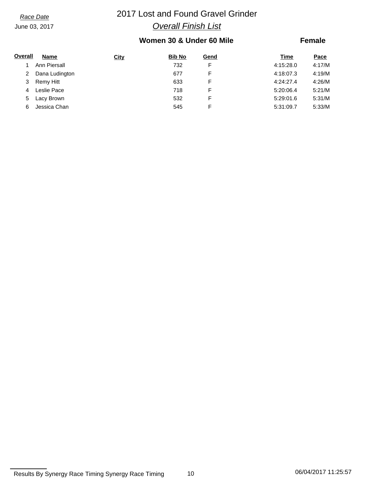# *Race Date* 2017 Lost and Found Gravel Grinder *Overall Finish List*

# **Women 30 & Under 60 Mile**

### **Female**

| Overall | <b>Name</b>    | <b>City</b> | <b>Bib No</b> | Gend | Time      | Pace   |
|---------|----------------|-------------|---------------|------|-----------|--------|
|         | Ann Piersall   |             | 732           |      | 4:15:28.0 | 4:17/M |
|         | Dana Ludington |             | 677           | F    | 4:18:07.3 | 4:19/M |
| 3       | Remy Hitt      |             | 633           |      | 4:24:27.4 | 4:26/M |
| 4       | Leslie Pace    |             | 718           | F    | 5:20:06.4 | 5:21/M |
| 5       | Lacy Brown     |             | 532           |      | 5:29:01.6 | 5:31/M |
|         | Jessica Chan   |             | 545           |      | 5:31:09.7 | 5:33/M |

Results By Synergy Race Timing Synergy Race Timing 10 10 10 06/04/2017 11:25:57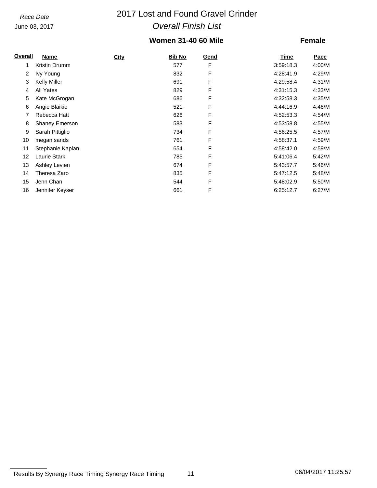# *Race Date* 2017 Lost and Found Gravel Grinder *Overall Finish List*

## **Women 31-40 60 Mile**

## **Female**

| Name             | <b>City</b> | <b>Bib No</b> | Gend | Time      | <b>Pace</b> |
|------------------|-------------|---------------|------|-----------|-------------|
| Kristin Drumm    |             | 577           | F    | 3:59:18.3 | 4:00/M      |
| Ivy Young        |             | 832           | F    | 4:28:41.9 | 4:29/M      |
| Kelly Miller     |             | 691           | F    | 4:29:58.4 | 4:31/M      |
| Ali Yates        |             | 829           | F    | 4:31:15.3 | 4:33/M      |
| Kate McGrogan    |             | 686           | F    | 4:32:58.3 | 4:35/M      |
| Angie Blaikie    |             | 521           | F    | 4:44:16.9 | 4:46/M      |
| Rebecca Hatt     |             | 626           | F    | 4:52:53.3 | 4:54/M      |
| Shaney Emerson   |             | 583           | F    | 4:53:58.8 | 4:55/M      |
| Sarah Pittiglio  |             | 734           | F    | 4:56:25.5 | 4:57/M      |
| megan sands      |             | 761           | F    | 4:58:37.1 | 4:59/M      |
| Stephanie Kaplan |             | 654           | F    | 4:58:42.0 | 4:59/M      |
| Laurie Stark     |             | 785           | F    | 5:41:06.4 | 5:42/M      |
| Ashley Levien    |             | 674           | F    | 5:43:57.7 | 5:46/M      |
| Theresa Zaro     |             | 835           | F    | 5:47:12.5 | 5:48/M      |
| Jenn Chan        |             | 544           | F    | 5:48:02.9 | 5:50/M      |
| Jennifer Keyser  |             | 661           | F    | 6:25:12.7 | 6:27/M      |
|                  |             |               |      |           |             |

Results By Synergy Race Timing Synergy Race Timing 11 11 11 10 106/04/2017 11:25:57